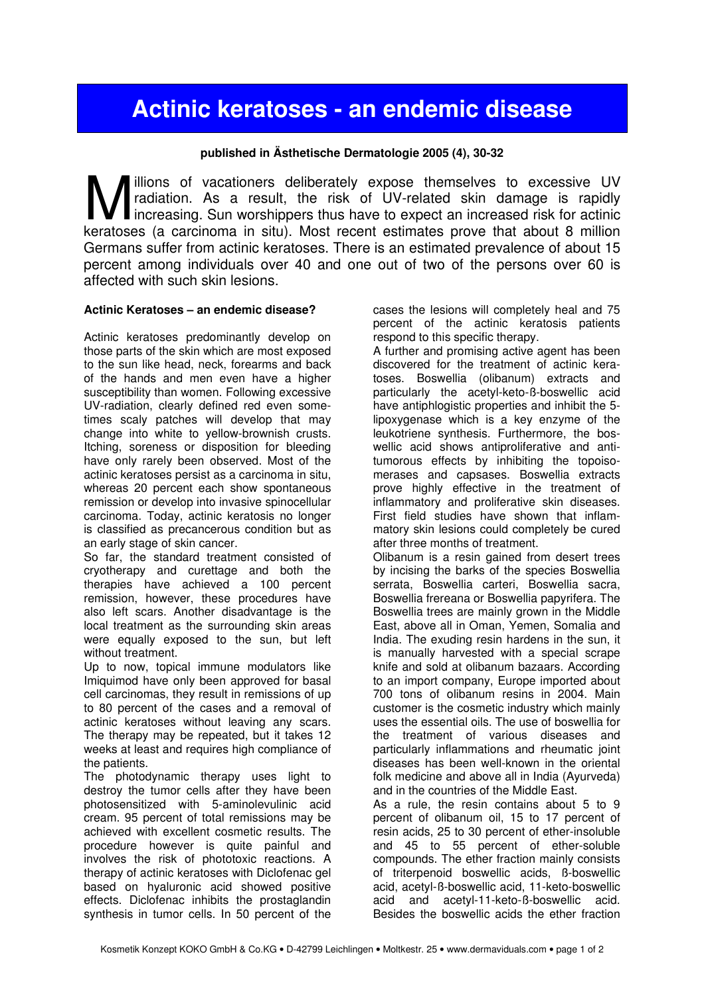## Actinic keratoses - an endemic disease

## published in Ästhetische Dermatologie 2005 (4), 30-32

illions of vacationers deliberately expose themselves to excessive UV radiation. As a result, the risk of UV-related skin damage is rapidly Increasing. Sun worshippers thus have to expect an increased risk for actinic **Keratoses (a carcinoma in situ).** Most recent estimates prove that about 8 million keratoses (a carcinoma in situ). Most recent estimates prove that about 8 million Germans suffer from actinic keratoses. There is an estimated prevalence of about 15 percent among individuals over 40 and one out of two of the persons over 60 is affected with such skin lesions.

## Actinic Keratoses – an endemic disease?

Actinic keratoses predominantly develop on those parts of the skin which are most exposed to the sun like head, neck, forearms and back of the hands and men even have a higher susceptibility than women. Following excessive UV-radiation, clearly defined red even sometimes scaly patches will develop that may change into white to yellow-brownish crusts. Itching, soreness or disposition for bleeding have only rarely been observed. Most of the actinic keratoses persist as a carcinoma in situ, whereas 20 percent each show spontaneous remission or develop into invasive spinocellular carcinoma. Today, actinic keratosis no longer is classified as precancerous condition but as an early stage of skin cancer.

So far, the standard treatment consisted of cryotherapy and curettage and both the therapies have achieved a 100 percent remission, however, these procedures have also left scars. Another disadvantage is the local treatment as the surrounding skin areas were equally exposed to the sun, but left without treatment.

Up to now, topical immune modulators like Imiquimod have only been approved for basal cell carcinomas, they result in remissions of up to 80 percent of the cases and a removal of actinic keratoses without leaving any scars. The therapy may be repeated, but it takes 12 weeks at least and requires high compliance of the patients.

The photodynamic therapy uses light to destroy the tumor cells after they have been photosensitized with 5-aminolevulinic acid cream. 95 percent of total remissions may be achieved with excellent cosmetic results. The procedure however is quite painful and involves the risk of phototoxic reactions. A therapy of actinic keratoses with Diclofenac gel based on hyaluronic acid showed positive effects. Diclofenac inhibits the prostaglandin synthesis in tumor cells. In 50 percent of the

cases the lesions will completely heal and 75 percent of the actinic keratosis patients respond to this specific therapy.

A further and promising active agent has been discovered for the treatment of actinic keratoses. Boswellia (olibanum) extracts and particularly the acetyl-keto-ß-boswellic acid have antiphlogistic properties and inhibit the 5 lipoxygenase which is a key enzyme of the leukotriene synthesis. Furthermore, the boswellic acid shows antiproliferative and antitumorous effects by inhibiting the topoisomerases and capsases. Boswellia extracts prove highly effective in the treatment of inflammatory and proliferative skin diseases. First field studies have shown that inflammatory skin lesions could completely be cured after three months of treatment.

Olibanum is a resin gained from desert trees by incising the barks of the species Boswellia serrata, Boswellia carteri, Boswellia sacra, Boswellia frereana or Boswellia papyrifera. The Boswellia trees are mainly grown in the Middle East, above all in Oman, Yemen, Somalia and India. The exuding resin hardens in the sun, it is manually harvested with a special scrape knife and sold at olibanum bazaars. According to an import company, Europe imported about 700 tons of olibanum resins in 2004. Main customer is the cosmetic industry which mainly uses the essential oils. The use of boswellia for the treatment of various diseases and particularly inflammations and rheumatic joint diseases has been well-known in the oriental folk medicine and above all in India (Ayurveda) and in the countries of the Middle East.

As a rule, the resin contains about 5 to 9 percent of olibanum oil, 15 to 17 percent of resin acids, 25 to 30 percent of ether-insoluble and 45 to 55 percent of ether-soluble compounds. The ether fraction mainly consists of triterpenoid boswellic acids, ß-boswellic acid, acetyl-ß-boswellic acid, 11-keto-boswellic acid and acetyl-11-keto-ß-boswellic acid. Besides the boswellic acids the ether fraction